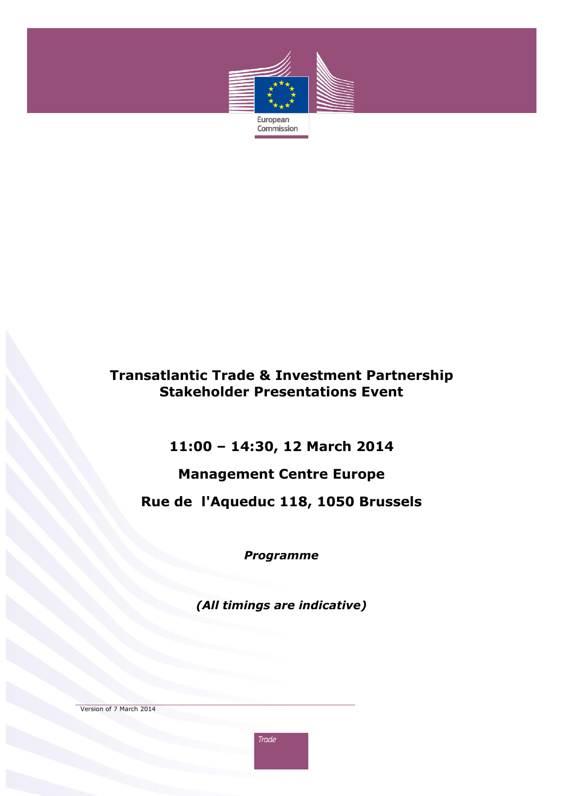

## **Transatlantic Trade & Investment Partnership Stakeholder Presentations Event**

# **11:00 – 14:30, 12 March 2014**

# **Management Centre Europe**

# **Rue de l'Aqueduc 118, 1050 Brussels**

*Programme*

*(All timings are indicative)*

Version of 7 March 2014

**Trade**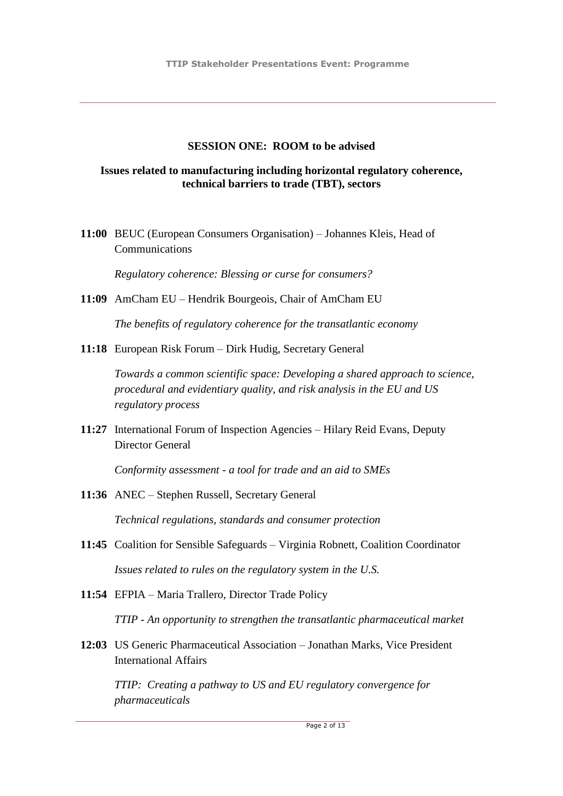#### **SESSION ONE: ROOM to be advised**

### **Issues related to manufacturing including horizontal regulatory coherence, technical barriers to trade (TBT), sectors**

**11:00** BEUC (European Consumers Organisation) – Johannes Kleis, Head of Communications

*Regulatory coherence: Blessing or curse for consumers?*

**11:09** AmCham EU – Hendrik Bourgeois, Chair of AmCham EU

*The benefits of regulatory coherence for the transatlantic economy*

**11:18** European Risk Forum – Dirk Hudig, Secretary General

*Towards a common scientific space: Developing a shared approach to science, procedural and evidentiary quality, and risk analysis in the EU and US regulatory process*

**11:27** International Forum of Inspection Agencies – Hilary Reid Evans, Deputy Director General

*Conformity assessment - a tool for trade and an aid to SMEs*

- **11:36** ANEC Stephen Russell, Secretary General *Technical regulations, standards and consumer protection*
- **11:45** Coalition for Sensible Safeguards Virginia Robnett, Coalition Coordinator *Issues related to rules on the regulatory system in the U.S.*
- **11:54** EFPIA Maria Trallero, Director Trade Policy *TTIP - An opportunity to strengthen the transatlantic pharmaceutical market*
- **12:03** US Generic Pharmaceutical Association Jonathan Marks, Vice President International Affairs

*TTIP: Creating a pathway to US and EU regulatory convergence for pharmaceuticals*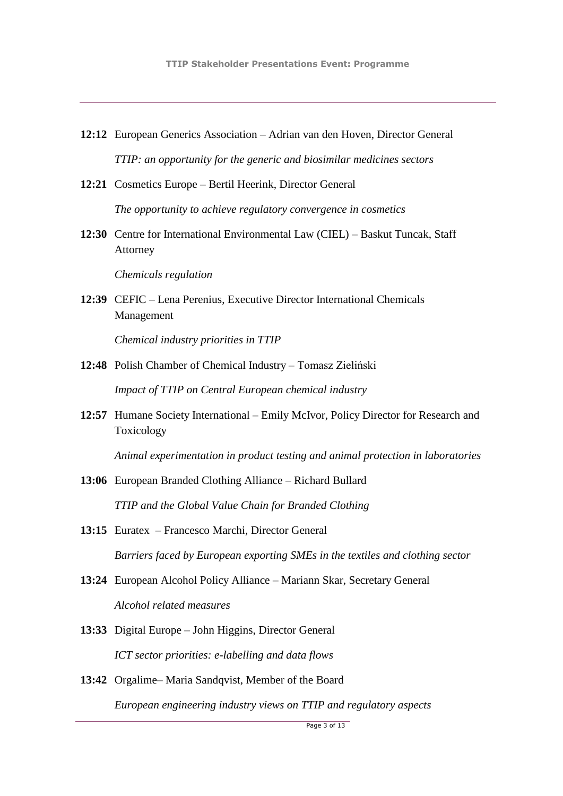- **12:12** European Generics Association Adrian van den Hoven, Director General *TTIP: an opportunity for the generic and biosimilar medicines sectors*
- **12:21** Cosmetics Europe Bertil Heerink, Director General *The opportunity to achieve regulatory convergence in cosmetics*
- **12:30** Centre for International Environmental Law (CIEL) Baskut Tuncak, Staff Attorney

*Chemicals regulation*

**12:39** CEFIC – Lena Perenius, Executive Director International Chemicals Management

*Chemical industry priorities in TTIP*

- **12:48** Polish Chamber of Chemical Industry Tomasz Zieliński *Impact of TTIP on Central European chemical industry*
- **12:57** Humane Society International Emily McIvor, Policy Director for Research and Toxicology

*Animal experimentation in product testing and animal protection in laboratories*

- **13:06** European Branded Clothing Alliance Richard Bullard *TTIP and the Global Value Chain for Branded Clothing*
- **13:15** Euratex Francesco Marchi, Director General *Barriers faced by European exporting SMEs in the textiles and clothing sector*
- **13:24** European Alcohol Policy Alliance Mariann Skar, Secretary General *Alcohol related measures*
- **13:33** Digital Europe John Higgins, Director General *ICT sector priorities: e-labelling and data flows*
- **13:42** Orgalime– Maria Sandqvist, Member of the Board *European engineering industry views on TTIP and regulatory aspects*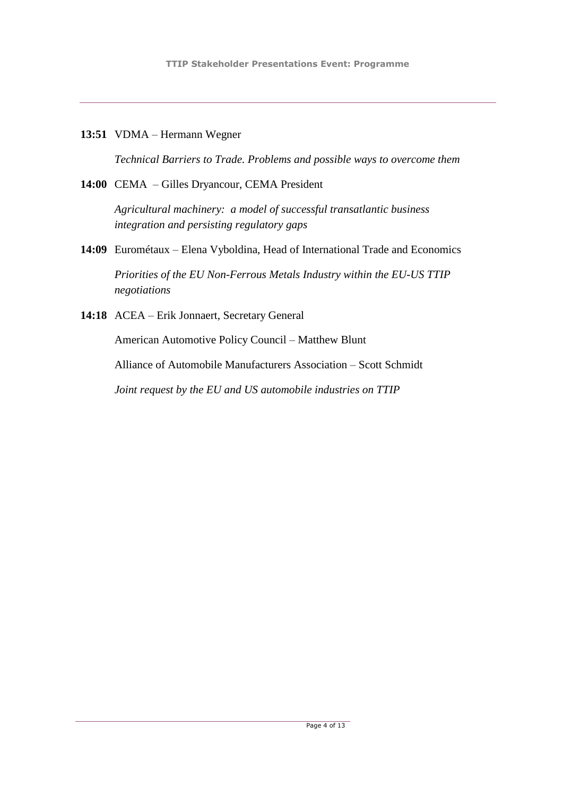**13:51** VDMA – Hermann Wegner

*Technical Barriers to Trade. Problems and possible ways to overcome them*

**14:00** CEMA – Gilles Dryancour, CEMA President

*Agricultural machinery: a model of successful transatlantic business integration and persisting regulatory gaps*

**14:09** Eurométaux – Elena Vyboldina, Head of International Trade and Economics

*Priorities of the EU Non-Ferrous Metals Industry within the EU-US TTIP negotiations* 

**14:18** ACEA – Erik Jonnaert, Secretary General

American Automotive Policy Council – Matthew Blunt

Alliance of Automobile Manufacturers Association – Scott Schmidt

*Joint request by the EU and US automobile industries on TTIP*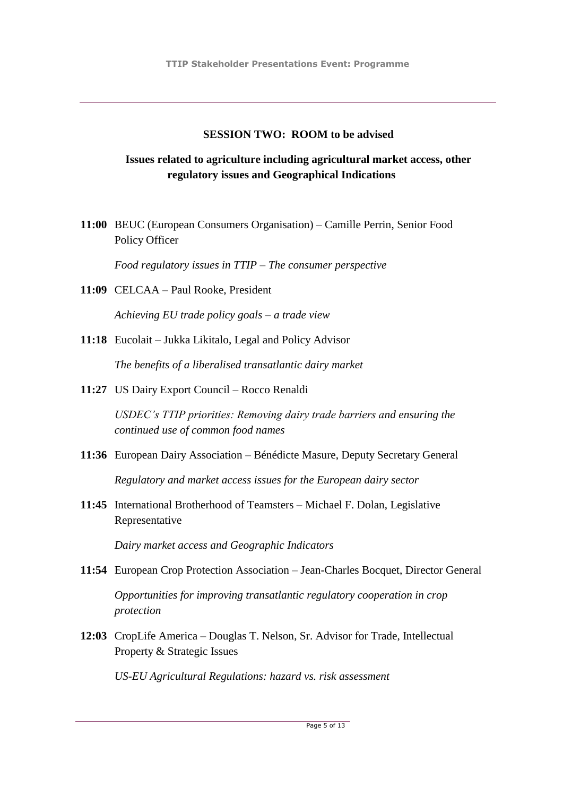### **SESSION TWO: ROOM to be advised**

## **Issues related to agriculture including agricultural market access, other regulatory issues and Geographical Indications**

**11:00** BEUC (European Consumers Organisation) – Camille Perrin, Senior Food Policy Officer

*Food regulatory issues in TTIP – The consumer perspective*

**11:09** CELCAA – Paul Rooke, President

*Achieving EU trade policy goals – a trade view*

**11:18** Eucolait – Jukka Likitalo, Legal and Policy Advisor

*The benefits of a liberalised transatlantic dairy market*

**11:27** US Dairy Export Council – Rocco Renaldi

*USDEC's TTIP priorities: Removing dairy trade barriers and ensuring the continued use of common food names*

**11:36** European Dairy Association – Bénédicte Masure, Deputy Secretary General

*Regulatory and market access issues for the European dairy sector*

**11:45** International Brotherhood of Teamsters – Michael F. Dolan, Legislative Representative

*Dairy market access and Geographic Indicators*

- **11:54** European Crop Protection Association Jean-Charles Bocquet, Director General *Opportunities for improving transatlantic regulatory cooperation in crop protection*
- **12:03** CropLife America Douglas T. Nelson, Sr. Advisor for Trade, Intellectual Property & Strategic Issues

*US-EU Agricultural Regulations: hazard vs. risk assessment*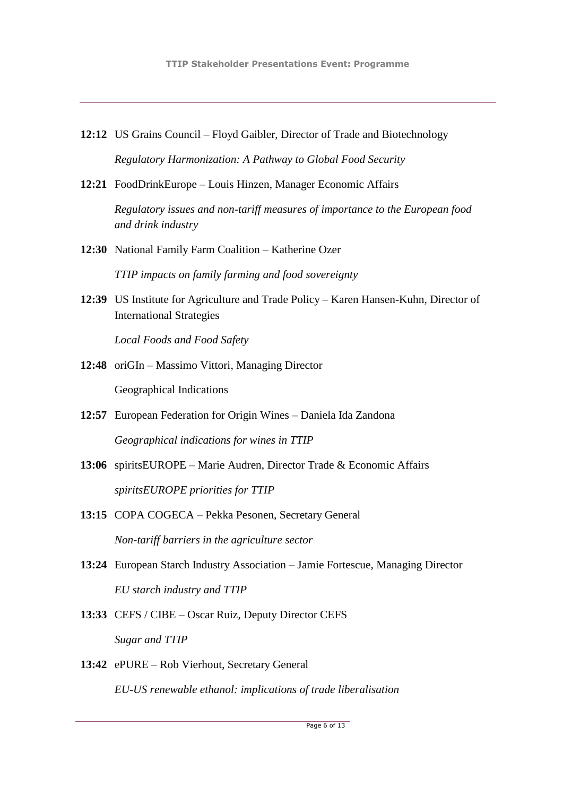- **12:12** US Grains Council Floyd Gaibler, Director of Trade and Biotechnology *Regulatory Harmonization: A Pathway to Global Food Security*
- **12:21** FoodDrinkEurope Louis Hinzen, Manager Economic Affairs

*Regulatory issues and non-tariff measures of importance to the European food and drink industry*

**12:30** National Family Farm Coalition – Katherine Ozer

*TTIP impacts on family farming and food sovereignty*

**12:39** US Institute for Agriculture and Trade Policy – Karen Hansen-Kuhn, Director of International Strategies

*Local Foods and Food Safety* 

- **12:48** oriGIn Massimo Vittori, Managing Director Geographical Indications
- **12:57** European Federation for Origin Wines Daniela Ida Zandona *Geographical indications for wines in TTIP*
- **13:06** spiritsEUROPE Marie Audren, Director Trade & Economic Affairs *spiritsEUROPE priorities for TTIP*
- **13:15** COPA COGECA Pekka Pesonen, Secretary General *Non-tariff barriers in the agriculture sector*
- **13:24** European Starch Industry Association Jamie Fortescue, Managing Director *EU starch industry and TTIP*
- **13:33** CEFS / CIBE Oscar Ruiz, Deputy Director CEFS *Sugar and TTIP*
- **13:42** ePURE Rob Vierhout, Secretary General *EU-US renewable ethanol: implications of trade liberalisation*

Page 6 of 13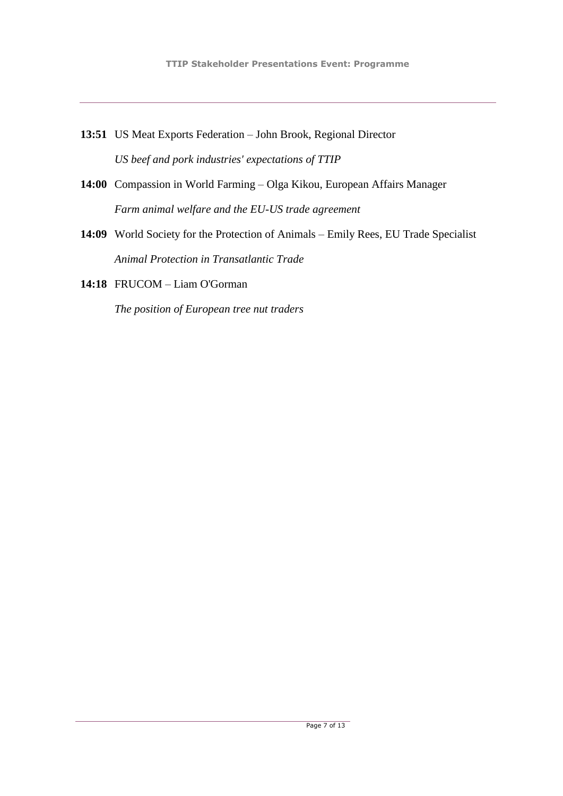- **13:51** US Meat Exports Federation John Brook, Regional Director *US beef and pork industries' expectations of TTIP*
- **14:00** Compassion in World Farming Olga Kikou, European Affairs Manager *Farm animal welfare and the EU-US trade agreement*
- **14:09** World Society for the Protection of Animals Emily Rees, EU Trade Specialist *Animal Protection in Transatlantic Trade*
- **14:18** FRUCOM Liam O'Gorman

*The position of European tree nut traders*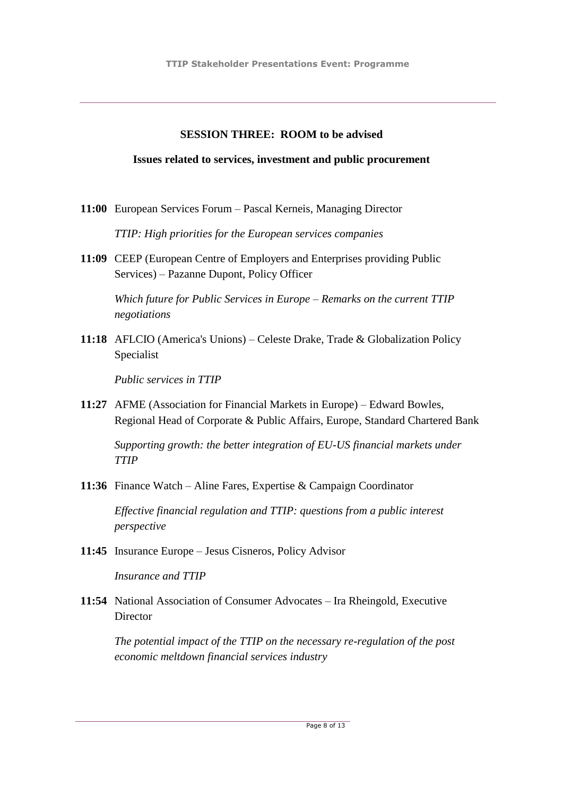#### **SESSION THREE: ROOM to be advised**

#### **Issues related to services, investment and public procurement**

**11:00** European Services Forum – Pascal Kerneis, Managing Director

*TTIP: High priorities for the European services companies*

**11:09** CEEP (European Centre of Employers and Enterprises providing Public Services) – Pazanne Dupont, Policy Officer

*Which future for Public Services in Europe – Remarks on the current TTIP negotiations*

**11:18** AFLCIO (America's Unions) – Celeste Drake, Trade & Globalization Policy Specialist

*Public services in TTIP*

**11:27** AFME (Association for Financial Markets in Europe) – Edward Bowles, Regional Head of Corporate & Public Affairs, Europe, Standard Chartered Bank

*Supporting growth: the better integration of EU-US financial markets under TTIP*

**11:36** Finance Watch – Aline Fares, Expertise & Campaign Coordinator

*Effective financial regulation and TTIP: questions from a public interest perspective*

**11:45** Insurance Europe – Jesus Cisneros, Policy Advisor

*Insurance and TTIP* 

**11:54** National Association of Consumer Advocates – Ira Rheingold, Executive **Director** 

*The potential impact of the TTIP on the necessary re-regulation of the post economic meltdown financial services industry*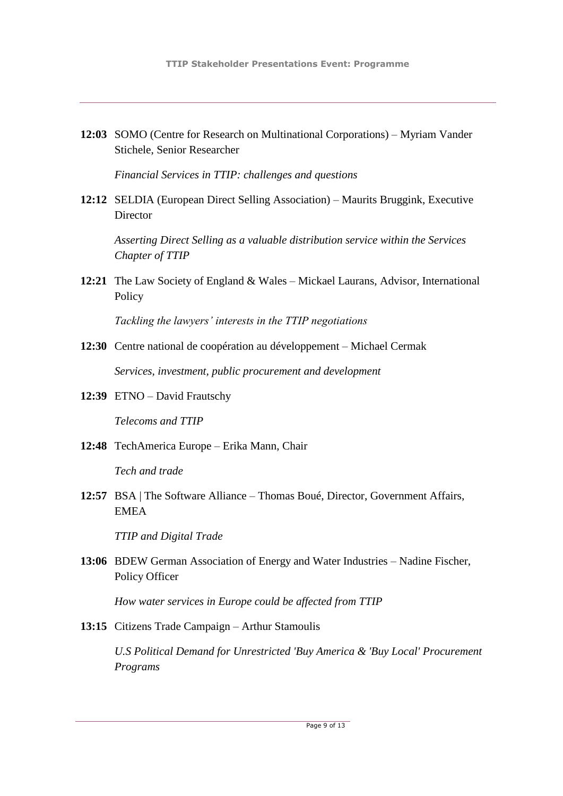**12:03** SOMO (Centre for Research on Multinational Corporations) – Myriam Vander Stichele, Senior Researcher

*Financial Services in TTIP: challenges and questions*

**12:12** SELDIA (European Direct Selling Association) – Maurits Bruggink, Executive **Director** 

*Asserting Direct Selling as a valuable distribution service within the Services Chapter of TTIP*

**12:21** The Law Society of England & Wales – Mickael Laurans, Advisor, International **Policy** 

*Tackling the lawyers' interests in the TTIP negotiations*

- **12:30** Centre national de coopération au développement Michael Cermak *Services, investment, public procurement and development*
- **12:39** ETNO David Frautschy

*Telecoms and TTIP*

**12:48** TechAmerica Europe – Erika Mann, Chair

*Tech and trade*

**12:57** BSA | The Software Alliance – Thomas Boué, Director, Government Affairs, EMEA

*TTIP and Digital Trade*

**13:06** BDEW German Association of Energy and Water Industries – Nadine Fischer, Policy Officer

*How water services in Europe could be affected from TTIP*

**13:15** Citizens Trade Campaign – Arthur Stamoulis

*U.S Political Demand for Unrestricted 'Buy America & 'Buy Local' Procurement Programs*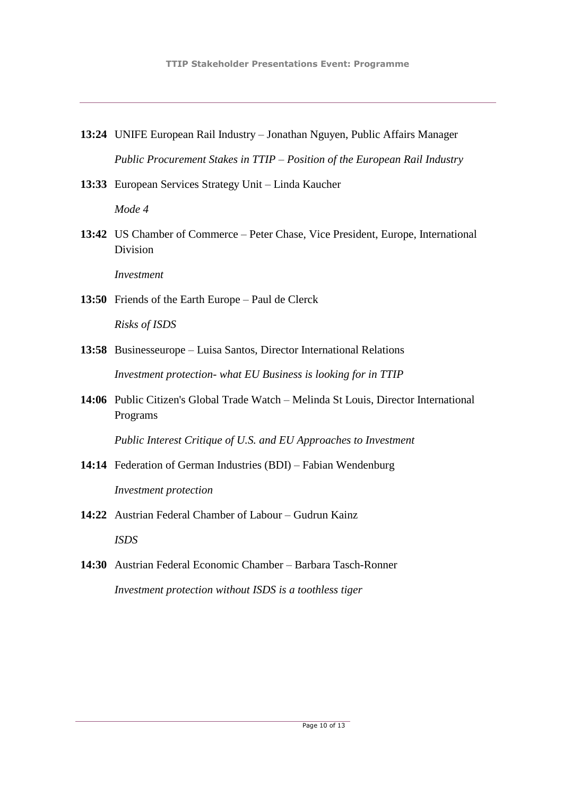- **13:24** UNIFE European Rail Industry Jonathan Nguyen, Public Affairs Manager *Public Procurement Stakes in TTIP – Position of the European Rail Industry*
- **13:33** European Services Strategy Unit Linda Kaucher

*Mode 4*

**13:42** US Chamber of Commerce – Peter Chase, Vice President, Europe, International Division

*Investment*

**13:50** Friends of the Earth Europe – Paul de Clerck

*Risks of ISDS* 

- **13:58** Businesseurope Luisa Santos, Director International Relations *Investment protection- what EU Business is looking for in TTIP*
- **14:06** Public Citizen's Global Trade Watch Melinda St Louis, Director International Programs

*Public Interest Critique of U.S. and EU Approaches to Investment* 

- **14:14** Federation of German Industries (BDI) Fabian Wendenburg *Investment protection*
- **14:22** Austrian Federal Chamber of Labour Gudrun Kainz

*ISDS*

**14:30** Austrian Federal Economic Chamber – Barbara Tasch-Ronner *Investment protection without ISDS is a toothless tiger*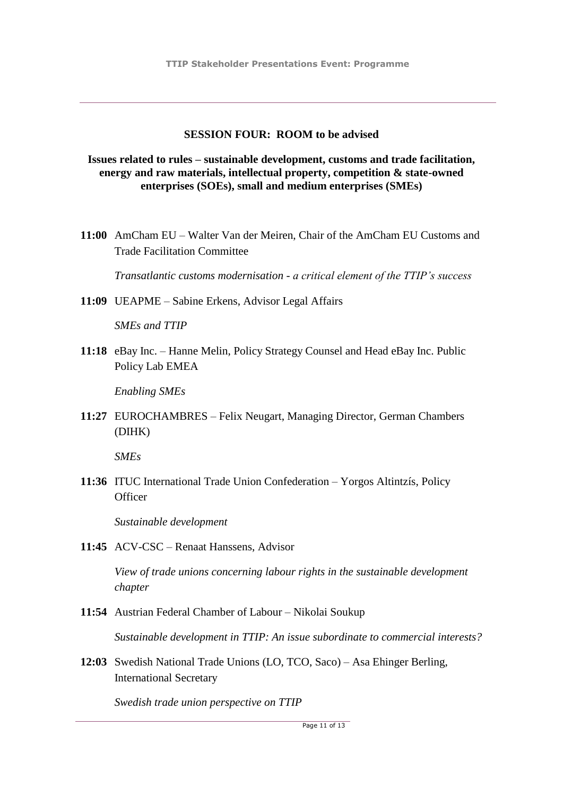#### **SESSION FOUR: ROOM to be advised**

**Issues related to rules – sustainable development, customs and trade facilitation, energy and raw materials, intellectual property, competition & state-owned enterprises (SOEs), small and medium enterprises (SMEs)**

**11:00** AmCham EU – Walter Van der Meiren, Chair of the AmCham EU Customs and Trade Facilitation Committee

*Transatlantic customs modernisation - a critical element of the TTIP's success*

**11:09** UEAPME – Sabine Erkens, Advisor Legal Affairs

*SMEs and TTIP*

**11:18** eBay Inc. – Hanne Melin, Policy Strategy Counsel and Head eBay Inc. Public Policy Lab EMEA

*Enabling SMEs*

**11:27** EUROCHAMBRES – Felix Neugart, Managing Director, German Chambers (DIHK)

*SMEs*

**11:36** ITUC International Trade Union Confederation – Yorgos Altintzís, Policy **Officer** 

*Sustainable development*

**11:45** ACV-CSC – Renaat Hanssens, Advisor

*View of trade unions concerning labour rights in the sustainable development chapter*

**11:54** Austrian Federal Chamber of Labour – Nikolai Soukup

*Sustainable development in TTIP: An issue subordinate to commercial interests?*

**12:03** Swedish National Trade Unions (LO, TCO, Saco) – Asa Ehinger Berling, International Secretary

*Swedish trade union perspective on TTIP*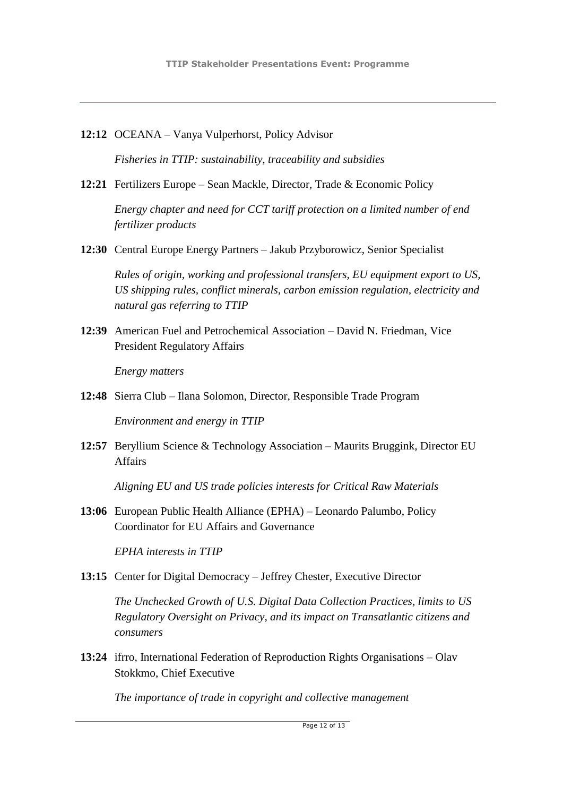**12:12** OCEANA – Vanya Vulperhorst, Policy Advisor

*Fisheries in TTIP: sustainability, traceability and subsidies*

**12:21** Fertilizers Europe – Sean Mackle, Director, Trade & Economic Policy

*Energy chapter and need for CCT tariff protection on a limited number of end fertilizer products*

**12:30** Central Europe Energy Partners – Jakub Przyborowicz, Senior Specialist

*Rules of origin, working and professional transfers, EU equipment export to US, US shipping rules, conflict minerals, carbon emission regulation, electricity and natural gas referring to TTIP*

**12:39** American Fuel and Petrochemical Association – David N. Friedman, Vice President Regulatory Affairs

*Energy matters*

**12:48** Sierra Club – Ilana Solomon, Director, Responsible Trade Program

*Environment and energy in TTIP*

**12:57** Beryllium Science & Technology Association – Maurits Bruggink, Director EU Affairs

*Aligning EU and US trade policies interests for Critical Raw Materials* 

**13:06** European Public Health Alliance (EPHA) – Leonardo Palumbo, Policy Coordinator for EU Affairs and Governance

*EPHA interests in TTIP*

13:15 Center for Digital Democracy – Jeffrey Chester, Executive Director

*The Unchecked Growth of U.S. Digital Data Collection Practices, limits to US Regulatory Oversight on Privacy, and its impact on Transatlantic citizens and consumers*

**13:24** ifrro, International Federation of Reproduction Rights Organisations – Olav Stokkmo, Chief Executive

*The importance of trade in copyright and collective management*